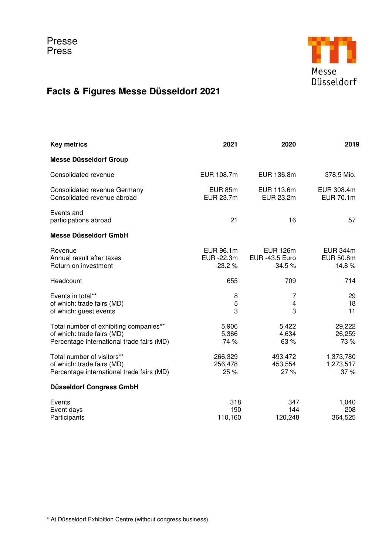

## **Facts & Figures Messe Düsseldorf 2021**

| <b>Key metrics</b>                                                                                                | 2021                                | 2020                                                 | 2019                                  |
|-------------------------------------------------------------------------------------------------------------------|-------------------------------------|------------------------------------------------------|---------------------------------------|
| <b>Messe Düsseldorf Group</b>                                                                                     |                                     |                                                      |                                       |
| Consolidated revenue                                                                                              | EUR 108.7m                          | EUR 136.8m                                           | 378,5 Mio.                            |
| <b>Consolidated revenue Germany</b><br>Consolidated revenue abroad                                                | <b>EUR 85m</b><br><b>EUR 23.7m</b>  | EUR 113.6m<br>EUR 23.2m                              | EUR 308.4m<br>EUR 70.1m               |
| Events and<br>participations abroad                                                                               | 21                                  | 16                                                   | 57                                    |
| Messe Düsseldorf GmbH                                                                                             |                                     |                                                      |                                       |
| Revenue<br>Annual result after taxes<br>Return on investment                                                      | EUR 96.1m<br>EUR -22.3m<br>$-23.2%$ | <b>EUR 126m</b><br><b>EUR -43.5 Euro</b><br>$-34.5%$ | <b>EUR 344m</b><br>EUR 50.8m<br>14.8% |
| Headcount                                                                                                         | 655                                 | 709                                                  | 714                                   |
| Events in total**<br>of which: trade fairs (MD)<br>of which: guest events                                         | 8<br>5<br>3                         | 7<br>$\overline{\mathbf{4}}$<br>3                    | 29<br>18<br>11                        |
| Total number of exhibiting companies**<br>of which: trade fairs (MD)<br>Percentage international trade fairs (MD) | 5,906<br>5,366<br>74 %              | 5,422<br>4,634<br>63 %                               | 29,222<br>26,259<br>73 %              |
| Total number of visitors**<br>of which: trade fairs (MD)<br>Percentage international trade fairs (MD)             | 266,329<br>256,478<br>25%           | 493,472<br>453,554<br>27%                            | 1,373,780<br>1,273,517<br>37%         |
| <b>Düsseldorf Congress GmbH</b>                                                                                   |                                     |                                                      |                                       |
| Events<br>Event days<br>Participants                                                                              | 318<br>190<br>110,160               | 347<br>144<br>120,248                                | 1,040<br>208<br>364,525               |